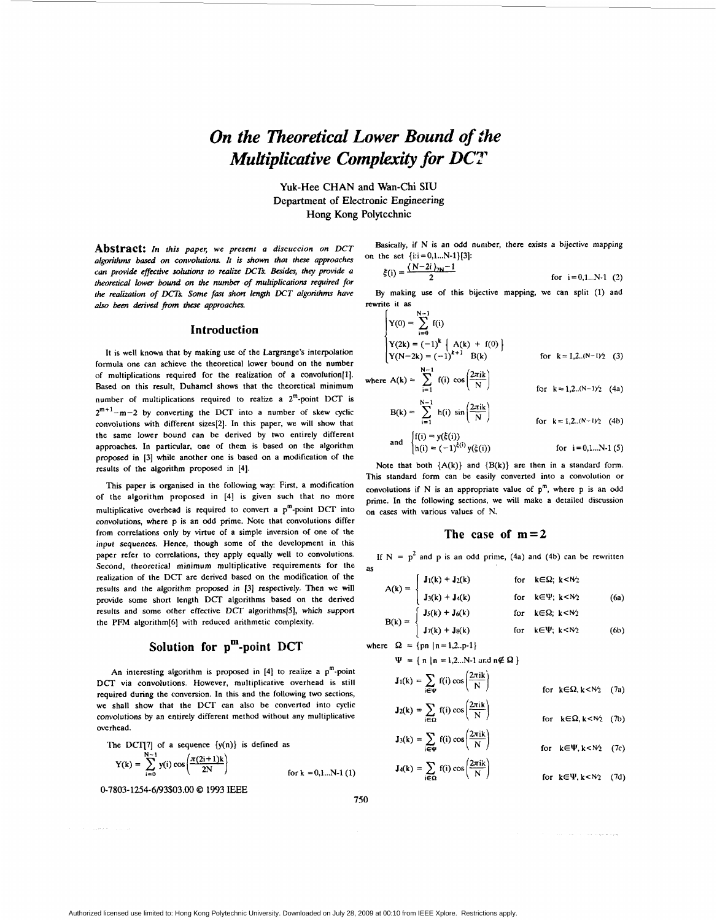# *On the Efzeoretical Lower Bound of the Multiplicative Complexity for DCT*

**Yuk-Hee CHAN and Wan-Chi SIU Department of Electronic Engineering**  Hong **Kong Polytechnic** 

**Abstract:** In this paper, we present a discuccion on *DCT*  algorithms based on convolutions. It is shown that these approaches can provide effective solutions to realize *DCTs*. Besides, they provide a theoretical lower *bound on* the number *of* multiplications required for the realization of DCTs. Some fast short length DCT algorithms have *ah0 been dm'ved fim thcw* approaches.

# **Introduction**

It is well known that by making use of the Largrange's interpolation formula one can achieve the theoretical lower bound on the number of multiplications required for the realization of a convolution[l]. Based on this result, Duhamel shows that the theoretical minimum number **of** multiplications required to realize a 2m-point **DCT** is  $2^{m+1}$ -m-2 by converting the DCT into a number of skew cyclic convolutions with different sizes[2]. In this paper, we will show that the same lower bound can be derived by **two** entirely different approaches. In particular, one of them is based on the algorithm proposed in [3] while another one is based on a modification of the results of the algorithm proposed in [4].

This paper is organised in the following way: First, a modification of the algorithm proposed in **(41** is given such that no more multiplicative overhead is required to convert a  $p^m$ -point DCT into convolutions, where p is an odd prime. Note that convolutions differ from correlations only by virtue of a simple inversion of one of the input sequences. Hence, though some of the development in this paper refer to correlations, they apply equally well to convolutions. Second, theoretical minimum multiplicative requirements for the realization of the DCT are derived based on the modification of the results and the algorithm proposed in **[3]** respectively. Then we will provide some short length DCT algorithms based on the derived results and some other effective DCT algorithms[5], which support the **PFM** algorithm[6] with reduced arithmetic complexity.

# **Solution for pm-point DCT**

An interesting algorithm is proposed in  $[4]$  to realize a  $p^m$ -point DCT via convolutions. However, multiplicative overhead is still required during the conversion. In this and the following **two** sections, we shall show that the DCT can also be converted into cyclic convolutions by an entirely different method without any multiplicative overhead.

The DCT[7] of a sequence  $\{y(n)\}\$ is defined as

the DCT[7] of a sequence 
$$
\{y(n)\}
$$
 is defined as  
\n
$$
Y(k) = \sum_{i=0}^{N-1} y(i) \cos\left(\frac{\pi(2i+1)k}{2N}\right)
$$
\nfor  $k = 0, 1...N-1$  (1)

0-7803-1254-6/93\$03.00 *0* 1993 EEE

Basically, if N is an odd number, there exists a bijective mapping on the set  $\{i:i=0,1...N-1\}$ [3]:

$$
\xi(i) = \frac{(N-2i)_{2N}-1}{2}
$$
 for i=0,1...N-1 (2)

**By** making use of this bijective mapping, we can split (1) and rewrite it as

$$
\begin{cases}\nY(0) = \sum_{i=0}^{N-1} f(i) \\
Y(2k) = (-1)^k \left\{ A(k) + f(0) \right\} \\
Y(N-2k) = (-1)^{k+1} B(k) \n\end{cases}
$$
 for  $k = 1, 2..(N-1)/2$  (3)

where A(k) = 
$$
\sum_{i=1}
$$
 f(i)  $\cos\left(\frac{2\pi i k}{N}\right)$  for k = 1,2...(N-1)/2 (4a)

$$
B(k) = \sum_{i=1}^{N-1} h(i) \sin\left(\frac{2\pi i k}{N}\right)
$$
 for  $k = 1, 2..(N-1)/2$  (4b)

and 
$$
\begin{cases} f(i) = y(\xi(i)) \\ h(i) = (-1)^{\xi(i)} y(\xi(i)) \end{cases}
$$
 for  $i = 0, 1...N-1$  (5)

Note that both  ${A(k)}$  and  ${B(k)}$  are then in a standard form. This standard form can be easily converted into a convolution or convolutions if N is an appropriate value of  $p^m$ , where p is an odd prime. In the following sections, we will make a detailed discussion **on** cases with various values of N.

# **The case of m=2**

If  $N = p^2$  and p is an odd prime, (4a) and (4b) can be rewritten as

$$
A(k) = \begin{cases} J_1(k) + J_2(k) & \text{for } k \in \Omega; \ k < N_2 \\ J_3(k) + J_4(k) & \text{for } k \in \Psi; \ k < N_2 \end{cases}
$$
 (6a)

$$
B(k) = \begin{cases} J_5(k) + J_6(k) & \text{for } k \in \Omega; \ k < N_2 \\ J_7(k) + J_8(k) & \text{for } k \in \Psi; \ k < N_2 \end{cases}
$$
 (6b)

where  $\Omega = \{pn \mid n = 1, 2..p-1\}$ 

$$
\Psi = \{ n | n = 1, 2...N-1 \text{ and } n \notin \Omega \}
$$
  

$$
J_1(k) = \sum_{i \in \Psi} f(i) \cos \left( \frac{2\pi i k}{N} \right)
$$
 for  $k \in \Omega, k < N/2$  (7a)

$$
J_2(k) = \sum_{i \in \Omega} f(i) \cos\left(\frac{2\pi i k}{N}\right)
$$
 for  $k \in \Omega, k < N_2$  (7a)  
for  $k \in \Omega, k < N_2$  (7b)

$$
\mathbf{J}_3(\mathbf{k}) = \sum_{\mathbf{i} \in \Psi} f(\mathbf{i}) \cos\left(\frac{2\pi \mathbf{i} \mathbf{k}}{N}\right) \qquad \text{for } \mathbf{k} \in \Psi, \mathbf{k} < N_2 \quad (7c)
$$
\n
$$
\mathbf{J}_4(\mathbf{k}) = \sum_{\mathbf{i} \in \Psi} f(\mathbf{i}) \cos\left(\frac{2\pi \mathbf{i} \mathbf{k}}{N}\right)
$$

$$
J_4(k) = \sum_{i \in \Omega} f(i) \cos\left(\frac{2\pi k}{N}\right)
$$
 for  $k \in \Psi, k < N/2$  (7d)

*750*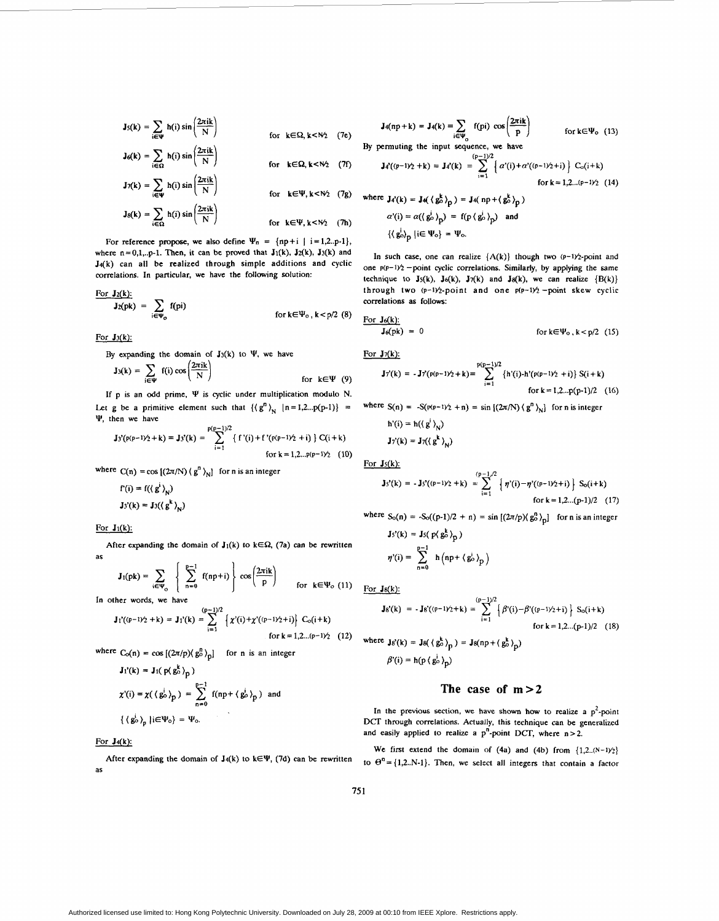$$
J_5(k) = \sum_{i \in \Psi} h(i) \sin\left(\frac{2\pi i k}{N}\right)
$$
  
\nfor  $k \in \Omega$ ,  $k < N/2$  (7e)  
\n
$$
J_6(k) = \sum_{i \in \Omega} h(i) \sin\left(\frac{2\pi i k}{N}\right)
$$
  
\nfor  $k \in \Omega$ ,  $k < N/2$  (7f)  
\nfor  $k \in \Omega$ ,  $k < N/2$  (7f)  
\n
$$
J_4'(p-1)/2 + k) = J_4'(k) = \sum_{i=1}^{(p-1)/2} h(i) \sin\left(\frac{2\pi i k}{N}\right)
$$

$$
J\eta(k) = \sum_{i \in \mathbf{Q}} h(i) \sin\left(\frac{2\pi i k}{N}\right)
$$
 for  $k \in \mathbf{\Omega}, k < N/2$  (7f)  
for  $k \in \Psi, k < N/2$  (7g)  

$$
J_8(k) = \sum_{i \in \Omega} h(i) \sin\left(\frac{2\pi i k}{N}\right)
$$
 for  $k \in \Psi, k < N/2$  (7h)

$$
J_8(k) = \sum_{i \in \Omega} h(i) \sin\left(\frac{2\pi i k}{N}\right) \qquad \text{for } k \in \Psi, k < N_2 \quad (7h)
$$

For reference propose, we also define  $\Psi_n = \{ np + i \mid i = 1, 2, p-1 \}$ , where  $n=0,1,..p-1$ . Then, it can be proved that  $J_1(k)$ ,  $J_2(k)$ ,  $J_3(k)$  and  $J_4(k)$  can all be realized through simple additions and cyclic correlations. In particular, we have the following solution:

$$
\frac{\text{For } J_2(k):}{J_2(pk)} = \sum_{i \in \Psi_0} f(pi)
$$
 for  $k \in \Psi_0$ ,  $k < p/2$  (8) For  $J_6(k)$ :

By expanding the domain of  $J_3(k)$  to  $\Psi$ , we have For  $J_7(k)$ :

| $J_3(k)$ :                                                            | $J_6(pk) = 0$        |                                                              |
|-----------------------------------------------------------------------|----------------------|--------------------------------------------------------------|
| By expanding the domain of $J_3(k)$ to $\Psi$ , we have               | For $J_7(k)$ :       |                                                              |
| $J_3(k) = \sum_{i \in \Psi} f(i) \cos\left(\frac{2\pi i k}{N}\right)$ | for $k \in \Psi$ (9) | $J_7'(k) = -J_7'(p(p-1)/2 + k) = \sum_{i=1}^{p(p-1)/2} f(i)$ |
| If p is an odd prime, $\Psi$ is cyclic under multiplication modulo N. |                      |                                                              |

Let g be a primitive element such that  $\{\langle g^n \rangle_{N} | n = 1, 2...p(p-1)\}$  =  $J_3(k) = \sum_{i \in \Psi}$ <br>If p is an odd<br>Let g be a priming<br> $\Psi$ , then we have

$$
\mathbf{J_3}'(p(p-1)\gamma_2 + k) = \mathbf{J_3}'(k) = \sum_{i=1}^{p(p-1)/2} \{ f'(i) + f'(p(p-1)\gamma_2 + i) \} C(i+k)
$$
  
for  $k = 1, 2...p(p-1)\gamma_2$  (10)

where  $C(n) = cos [(2\pi/N) (g^n)_{N}]$  for n is an integer

$$
f'(i) = f(\langle g^i \rangle_N)
$$
  

$$
J_3'(k) = J_3(\langle g^k \rangle_N)
$$

For  $J_1(k)$ :

After expanding the domain of  $J_1(k)$  to  $k \in \Omega$ , (7a) can be rewritten as

$$
\mathbf{J}_1(\mathbf{p}\mathbf{k}) = \sum_{\mathbf{i}\in\Psi_0} \left\{ \sum_{n=0}^{p-1} f(np+i) \right\} \cos\left(\frac{2\pi i \mathbf{k}}{p}\right) \quad \text{for } \mathbf{k} \in \Psi_0 \tag{11}
$$

In other words, we have

$$
\mathbf{J_1}^{\prime}((p-1)\gamma_2 + k) = \mathbf{J_1}^{\prime}(k) = \sum_{i=1}^{(p-1)/2} \left\{ \chi^{\prime}(i) + \chi^{\prime}((p-1)\gamma_2 + i) \right\} C_0(i+k)
$$
  
for  $k = 1, 2... (p-1)\gamma_2$  (12)

where  $C_0(n) = \cos[(2\pi/p)(g_0^n)_p]$  for n is an integer

$$
J_1'(k) = J_1(p \langle g_b^k \rangle_p)
$$
  

$$
\chi'(i) = \chi(\langle g_b^i \rangle_p) = \sum_{n=0}^{p-1} f(np + \langle g_b^i \rangle_p)
$$
 and  

$$
\{ \langle g_b^i \rangle_p | i \in \Psi_0 \} = \Psi_0.
$$

## For J4(k):

as

for 
$$
k \in \Omega
$$
,  $k < N_2$  (7e)  
\nBy permuting the input sequence, we have

$$
\sum_{i \in \Omega} h(i) \sin\left(\frac{2\pi i k}{N}\right)
$$
\n
$$
\sum_{i \in \Omega} h(i) \sin\left(\frac{2\pi i k}{N}\right)
$$
\nfor  $k \in \Omega, k < N/2$  (7f)\n
$$
J_4'(p-1/2+k) = J_4'(k) = \sum_{i=1}^{(p-1)/2} \left\{ a'(i) + a'(p-1/2+i) \right\} C_0(i+k)
$$
\nfor  $k = 1, 2... (p-1)/2$  (14)

$$
\sum_{i \in \Omega} h(i) \sin \left( \frac{2\pi i k}{N} \right)
$$
\n
$$
\sum_{i \in \Omega} h(i) \sin \left( \frac{2\pi i k}{N} \right)
$$
\n
$$
\sum_{i \in \Omega} h(i) \sin \left( \frac{2\pi i k}{N} \right)
$$
\n
$$
\sum_{i \in \Omega} h(i) \sin \left( \frac{2\pi i k}{N} \right)
$$
\n
$$
\sum_{i \in \Omega} h(i) \sin \left( \frac{2\pi i k}{N} \right)
$$
\n
$$
\sum_{i \in \Omega} h(i) \sin \left( \frac{2\pi i k}{N} \right)
$$
\n
$$
\sum_{i \in \Omega} h(i) \sin \left( \frac{2\pi i k}{N} \right)
$$
\n
$$
\sum_{i \in \Omega} h(i) \sin \left( \frac{2\pi i k}{N} \right)
$$
\n
$$
\sum_{i \in \Omega} h(i) \sin \left( \frac{2\pi i k}{N} \right)
$$
\n
$$
\sum_{i \in \Omega} h(i) \sin \left( \frac{2\pi i k}{N} \right)
$$
\n
$$
\sum_{i \in \Omega} h(i) \sin \left( \frac{2\pi i k}{N} \right)
$$

In such case, one can realize  ${A(k)}$  though two  $(p-1)/2$ -point and technique to  $J_5(k)$ ,  $J_6(k)$ ,  $J_7(k)$  and  $J_8(k)$ , we can realize  ${B(k)}$ through two  $(p-1)/2$ -point and one  $p(p-1)/2$ -point skew cyclic correlations **as** follows: one  $p(p-1)/2$  -point cyclic correlations. Similarly, by applying the same

For 
$$
J_3(k)
$$
:  
For  $J_3(k)$ :  
 $J_6(pk) = 0$  for  $k \in \Psi_0$ ,  $k < p/2$  (15)

$$
\mathbf{J}\tau'(k) = -\mathbf{J}\tau(p(p-1)\gamma + k) = \sum_{i=1}^{p(p-1)/2} \{h'(i) - h'(p(p-1)\gamma + i)\} S(i+k)
$$
  
for k = 1,2...p(p-1)/2 (16)

where 
$$
S(n) = -S(p(p-1)\hat{z} + n) = \sin \left[ (2\pi/N) (g^n)_{N} \right]
$$
 for *n* is integer  

$$
b'(i) = b((n^{\frac{1}{2}}))
$$

$$
\mathbf{J}_7(k) = \mathbf{J}_7(\langle \mathbf{g}^k \rangle_{\mathbf{N}})
$$

For  $J_5(k)$ :

$$
\mathbf{J}s'(k) = -\mathbf{J}s'(p-1)\dot{z} + k) = \sum_{i=1}^{(p-1)/2} \left\{ \eta'(i) - \eta'(p-1)\dot{z} + i \right\} S_o(i+k)
$$
  
for k = 1,2...(p-1)/2 (17)

where 
$$
S_0(n) = S_0((p-1)/2 + n) = \sin[(2\pi/p)(g_0^0)_{p}]
$$
 for n is an integer  
\n $Js'(k) = Js(p(g_0^k)_{\infty})$ 

$$
\eta'(i) = \sum_{n=0}^{p-1} h \left( np + \left\langle g_o^i \right\rangle_p \right)
$$

For  $J_8(k)$ :

$$
\mathbf{J} \mathbf{g}'(k) = -\mathbf{J} \mathbf{g}'(v - 1/2 + k) = \sum_{i=1}^{(p-1)/2} \left\{ \beta'(i) - \beta'(v - 1/2 + i) \right\} S_0(i + k)
$$
  
for k = 1,2...(p-1)/2 (18)

where 
$$
\mathbf{J} s'(k) = \mathbf{J} s(\langle \mathbf{g}_0^k \rangle_p) = \mathbf{J} s(np + \langle \mathbf{g}_0^k \rangle_p)
$$
  

$$
\beta'(i) = h(p \langle \mathbf{g}_0^i \rangle_p)
$$

# The case of  $m > 2$

In the previous section, we have shown how to realize a  $p^2$ -point **DCT** through correlations. Actually, this technique can be generalized and easily applied to realize a  $p^{n}$ -point *DCT*, where  $n > 2$ .

We first extend the domain of (4a) and (4b) from  ${1,2...(N-1)}$ ? After expanding the domain of  $J_4(k)$  to  $k \in \Psi$ , (7d) can be rewritten to  $\Theta^n = \{1, 2, N-1\}$ . Then, we select all integers that contain a factor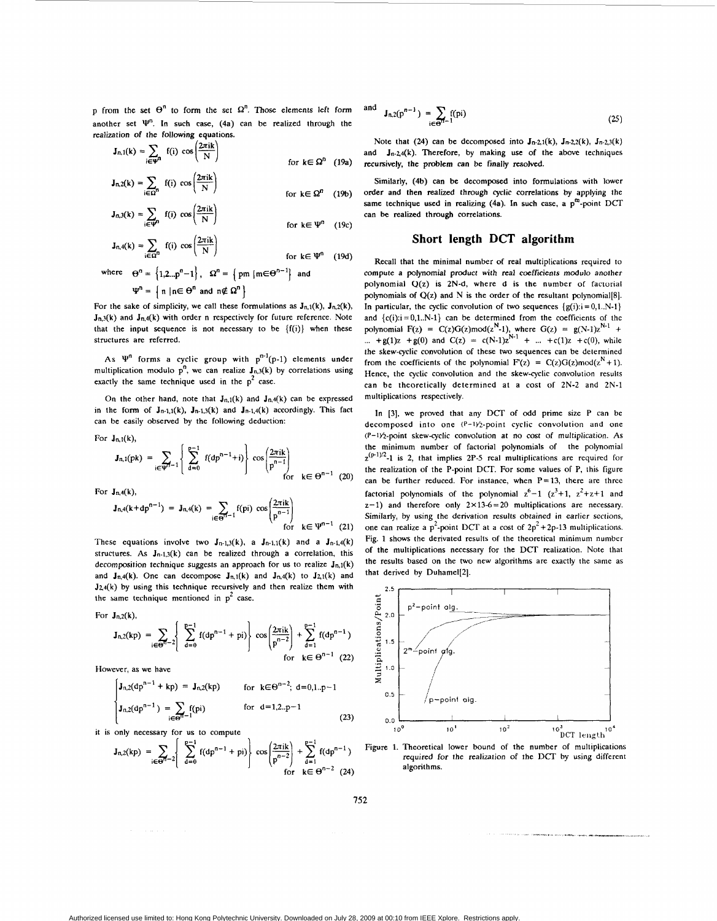p from the set  $\Theta^n$  to form the set  $\Omega^n$ . Those elements left form another set  $\Psi^n$ . In such case, (4a) can be realized through the realization of the following equations.

$$
\mathbf{J}_{n,1}(k) = \sum_{i \in \mathbf{V}^n} f(i) \cos\left(\frac{2\pi i k}{N}\right)
$$
 for  $k \in \Omega^n$  (19a)  

$$
\mathbf{J}_n 2(k) = \sum_{i} f(i) \cos\left(\frac{2\pi i k}{N}\right)
$$

$$
h_1 z(k) = \sum_{i \in \Omega^n} f(i) \cos\left(\frac{2\pi k}{N}\right)
$$
 for  $k \in \Omega^n$  (19b)

$$
\mathbf{J}_{n,3}(k) = \sum_{i \in \Psi^n} f(i) \cos\left(\frac{2\pi i k}{N}\right) \qquad \text{for } k \in \Psi^n \quad (19c)
$$

$$
J_{n,4}(k) = \sum_{i \in \Omega^n} f(i) \cos\left(\frac{\omega_{i,k}}{N}\right)
$$
 for  $k \in \Psi^n$  (19d)

where 
$$
\Theta^n = \{1, 2...p^n-1\}
$$
,  $\Omega^n = \{pm \ m | m \in \Theta^{n-1}\}$  and  
 $\Psi^n = \{n | n \in \Theta^n \text{ and } n \notin \Omega^n\}$ 

For the sake of simplicity, we call these formulations as  $J_{n,1}(k)$ ,  $J_{n,2}(k)$ ,  $J_{n,3}(k)$  and  $J_{n,4}(k)$  with order n respectively for future reference. Note that the input sequence is not necessary to be  ${f(i)}$  when these structures are referred.

As  $\Psi^n$  forms a cyclic group with  $p^{n-1}(p-1)$  elements under multiplication modulo  $p^n$ , we can realize  $J_{n,3}(k)$  by correlations using exactly the same technique used in the  $p^2$  case.

On the other hand, note that  $J_{n,1}(k)$  and  $J_{n,4}(k)$  can be expressed in the form of  $J_{n-1,1}(k)$ ,  $J_{n-1,3}(k)$  and  $J_{n-1,4}(k)$  accordingly. This fact can be easily observed by the following deduction:

For  $J_{n,1}(k)$ ,

$$
J_{n,1}(pk) = \sum_{i \in \Psi^{n-1}} \left\{ \sum_{d=0}^{p-1} f(dp^{n-1} + i) \right\} \cos\left(\frac{2\pi i k}{p^{n-1}}\right) \text{ for } k \in \Theta^{n-1} \tag{20}
$$

For  $J_{n,4}(k)$ ,

$$
J_{n,4}(k),
$$
  
\n
$$
J_{n,4}(k+dp^{n-1}) = J_{n,4}(k) = \sum_{i \in \Theta^{n-1}} f(pi) \cos \left( \frac{2\pi i k}{p^{n-1}} \right)
$$
  
\nfor  $k \in \Psi^{n-1}$  (21)

These equations involve two  $J_{n-1,3}(k)$ , a  $J_{n-1,1}(k)$  and a  $J_{n-1,4}(k)$ structures. As  $J_{n-1,3}(k)$  can be realized through a correlation, this decomposition technique suggests an approach for us to realize  $J_{n,1}(k)$ and  $J_{n,4}(k)$ . One can decompose  $J_{n,1}(k)$  and  $J_{n,4}(k)$  to  $J_{2,1}(k)$  and  $J24(k)$  by using this technique recursively and then realize them with the same technique mentioned in  $p^2$  case.

For  $J_{n,2}(k)$ ,

$$
J_{n,2}(kp) = \sum_{i \in \Theta^{n-2}} \left\{ \sum_{d=0}^{p-1} f(dp^{n-1} + pi) \right\} \cos\left(\frac{2\pi ik}{p^{n-2}}\right) + \sum_{d=1}^{p-1} f(dp^{n-1})
$$
  
for  $k \in \Theta^{n-1}$  (22)

However, as we have

$$
\mathbf{J}_{n,2}(\mathrm{d}p^{n-1} + \mathrm{kp}) = \mathbf{J}_{n,2}(\mathrm{kp}) \quad \text{for } k \in \Theta^{n-2}; \ \mathrm{d} = 0, 1, p-1
$$
\n
$$
\mathbf{J}_{n,2}(\mathrm{d}p^{n-1}) = \sum_{i \in \Theta^{n-1}} f(p_i) \quad \text{for } \mathrm{d} = 1, 2, p-1
$$
\n(23)

it is only necessary for us to compute

$$
J_{n,2}(kp) = \sum_{i \in \Theta} \left\{ \sum_{d=0}^{p-1} f(dp^{n-1} + pi) \right\} \cos\left(\frac{2\pi ik}{p^{n-2}}\right) + \sum_{d=1}^{p-1} f(dp^{n-1})
$$
  
for  $k \in \Theta^{n-2}$  (24)

$$
d \t J_{n,2}(p^{n-1}) = \sum_{i \in \Theta^{n-1}} f(pi)
$$
 (25)

an

Note that (24) can be decomposed into  $J_{n-2,1}(k)$ ,  $J_{n-2,2}(k)$ ,  $J_{n-2,3}(k)$ and  $J_{n-2,4}(k)$ . Therefore, by making use of the above techniques recursively, the problem can be finally resolved.

Similarly, (4b) can be decomposed into formulations with lower order and then realized through cyclic correlations by applying the same technique used in realizing  $(4a)$ . In such case, a p<sup>m</sup>-point DCT can be realized through correlations.

# **Short length DCT algorithm**

Recall that the minimal number of real multiplications required to compute a polynomial product with real coefficients modulo another polynomial **U(z)** is 2N-d, where d is the number of factorial polynomials of  $Q(z)$  and N is the order of the resultant polynomial[8]. In particular, the cyclic convolution of two sequences  ${g(i): i = 0,1..N-1}$ and  ${c(i): i = 0,1..N-1}$  can be determined from the coefficients of the polynomial  $F(z) = C(z)G(z) \mod (z^N-1)$ , where  $G(z) = g(N-1)z^{N-1} + ... + g(1)z + g(0)$  and  $C(z) = c(N-1)z^{N-1} + ... + c(1)z + c(0)$ , while the skew-cyclic convolution of these two sequences can be determined from the coefficients of the polynomial  $F'(z) = C(z)G(z) \mod (z^N + 1)$ . Hence, the cyclic convolution and the skew-cyclic convolution results can be theoretically determined at a cost of 2N-2 and 2N-1 multiplications respectively.

In [3], we proved that any DCT of odd prime size P can be decomposed into one  $(P-1)/2$ -point cyclic convolution and one (P-IVz-point skew-cyclic convo:ution at no cost of multiplication. **As**  the minimum number of factorial polynomials of the polynomial  $z^{(p-1)/2}$ -1 is 2, that implies 2P-5 real multiplications are required for the realization of the P-point **DCT.** For some values of P, this figure can be further reduced. For instance, when  $P=13$ , there are three factorial polynomials of the polynomial  $z^6-1$   $(z^3+1, z^2+z+1$  and  $z-1$ ) and therefore only  $2 \times 13-6=20$  multiplications are necessary. Similarly, by using the derivation results obtained in earlier sections, one can realize a  $p^2$ -point DCT at a cost of  $2p^2+2p-13$  multiplications. Fig. 1 shows the derivated results of the theoretical minimum number of the multiplications necessary for the DCT realization. Note that the results based on the two new algorithms are exactly the same as that derived by Duhamel[2].



Figure 1. Theoretical lower bound of the number of multiplications required for the realization of the DCT by using different algorithms.

**752**